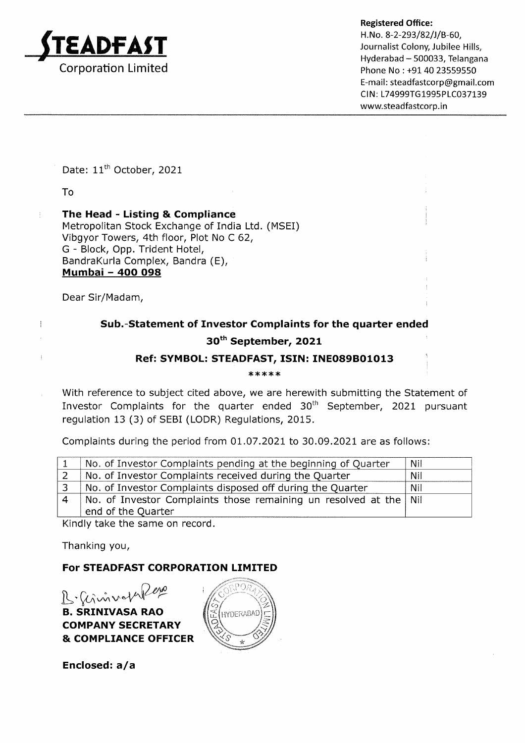

Hyderabad - 500033, Telangana Phone No : +91 40 23559550 E-mail : steadfastcorp@gmail.com CIN: L74999TG1995PLC037139 www.steadfastcorp.in

Date: 11<sup>th</sup> October, 2021

To

 $\frac{1}{4}$ 

 $\overline{1}$ 

The Head - Listing & Compliance Metropolitan Stock Exchange of India Ltd. (MSEI) Vibgyor Towers, 4th floor, Plot No C 62, G - Block, Opp. Trident Hotel, BandraKurla Complex, Bandra (E), Mumbai - 4OO O98

Dear Sir/Madam,

## Sub.-Statement of Investor Complaints for the quarter ended 3oth September, 2O2L

## Ref: SYMBOL: STEADFAST, ISIN: INEO89BO1O13

\*\*\*\*\*\*\*\*\*\*\*\*

With reference to subject cited above, we are herewith submitting the Statement of Investor Complaints for the quarter ended 30<sup>th</sup> September, 2021 pursuant regulation 13 (3) of SEBI (LODR) Regulations, 2015.

Complaints during the period from 01 .07.202L to 30.09.2021 are as follows:

| No. of Investor Complaints pending at the beginning of Quarter    | Nil        |
|-------------------------------------------------------------------|------------|
| No. of Investor Complaints received during the Quarter            | Nil        |
| No. of Investor Complaints disposed off during the Quarter        | <b>Nil</b> |
| No. of Investor Complaints those remaining un resolved at the Nil |            |
| end of the Quarter                                                |            |

Kindly take the same on record.

Thanking you,

## For STEADFAST CORPORATION LIMITED

 $R$ .  $\hat{u}$ invot B. SRINIVASA RAO COMPANY SECRETARY & COMPLIANCE OFFICER



Enclosed:  $a/a$